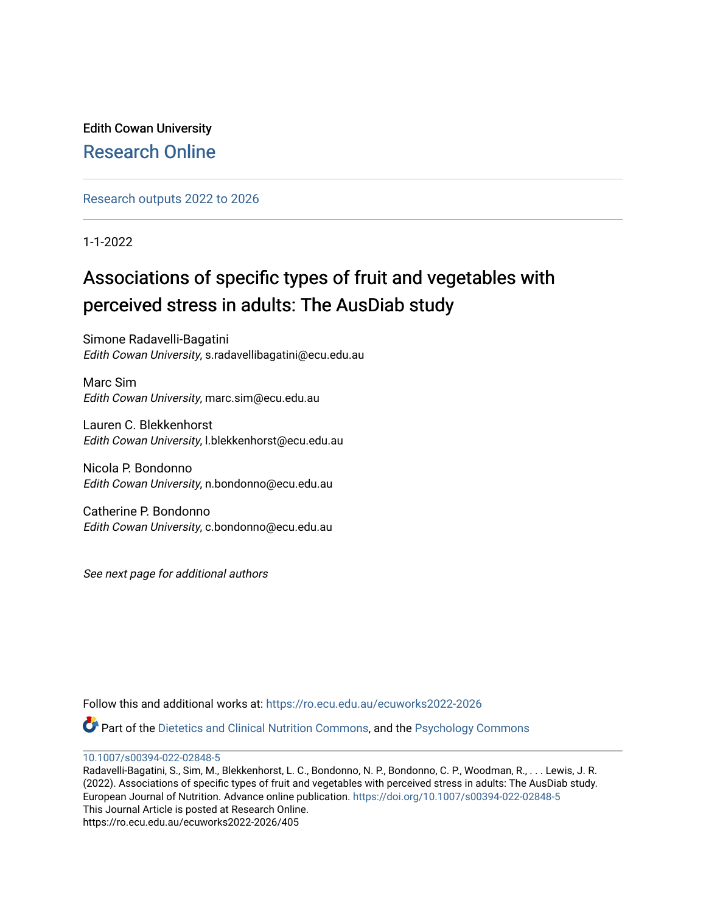Edith Cowan University [Research Online](https://ro.ecu.edu.au/) 

[Research outputs 2022 to 2026](https://ro.ecu.edu.au/ecuworks2022-2026) 

1-1-2022

# Associations of specific types of fruit and vegetables with perceived stress in adults: The AusDiab study

Simone Radavelli-Bagatini Edith Cowan University, s.radavellibagatini@ecu.edu.au

Marc Sim Edith Cowan University, marc.sim@ecu.edu.au

Lauren C. Blekkenhorst Edith Cowan University, l.blekkenhorst@ecu.edu.au

Nicola P. Bondonno Edith Cowan University, n.bondonno@ecu.edu.au

Catherine P. Bondonno Edith Cowan University, c.bondonno@ecu.edu.au

See next page for additional authors

Follow this and additional works at: [https://ro.ecu.edu.au/ecuworks2022-2026](https://ro.ecu.edu.au/ecuworks2022-2026?utm_source=ro.ecu.edu.au%2Fecuworks2022-2026%2F405&utm_medium=PDF&utm_campaign=PDFCoverPages)

Part of the [Dietetics and Clinical Nutrition Commons,](https://network.bepress.com/hgg/discipline/662?utm_source=ro.ecu.edu.au%2Fecuworks2022-2026%2F405&utm_medium=PDF&utm_campaign=PDFCoverPages) and the [Psychology Commons](https://network.bepress.com/hgg/discipline/404?utm_source=ro.ecu.edu.au%2Fecuworks2022-2026%2F405&utm_medium=PDF&utm_campaign=PDFCoverPages) 

[10.1007/s00394-022-02848-5](http://dx.doi.org/10.1007/s00394-022-02848-5)

Radavelli-Bagatini, S., Sim, M., Blekkenhorst, L. C., Bondonno, N. P., Bondonno, C. P., Woodman, R., . . . Lewis, J. R. (2022). Associations of specific types of fruit and vegetables with perceived stress in adults: The AusDiab study. European Journal of Nutrition. Advance online publication.<https://doi.org/10.1007/s00394-022-02848-5> This Journal Article is posted at Research Online. https://ro.ecu.edu.au/ecuworks2022-2026/405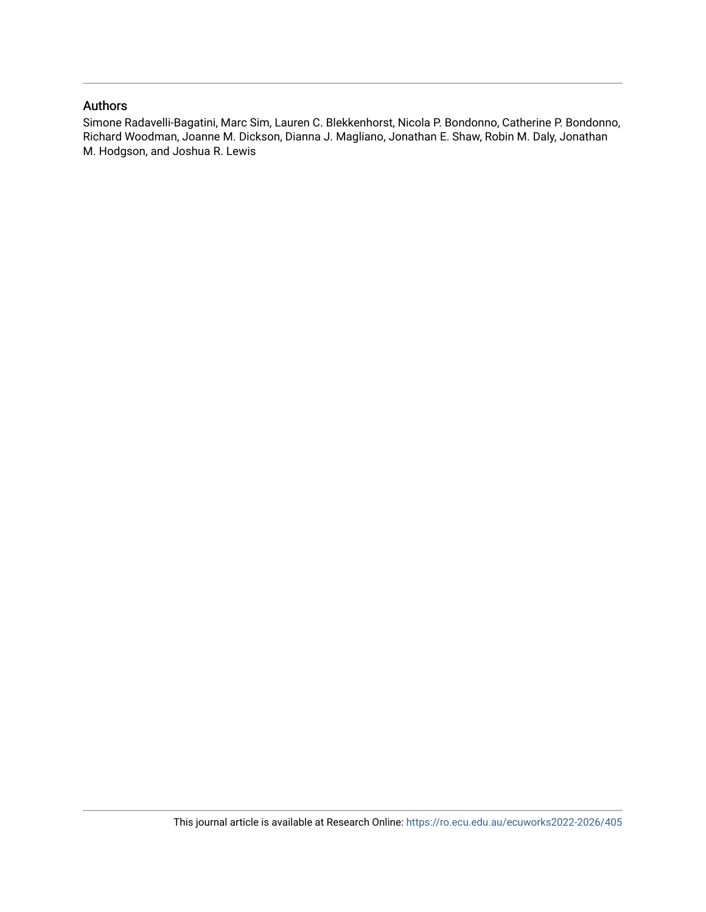## Authors

Simone Radavelli-Bagatini, Marc Sim, Lauren C. Blekkenhorst, Nicola P. Bondonno, Catherine P. Bondonno, Richard Woodman, Joanne M. Dickson, Dianna J. Magliano, Jonathan E. Shaw, Robin M. Daly, Jonathan M. Hodgson, and Joshua R. Lewis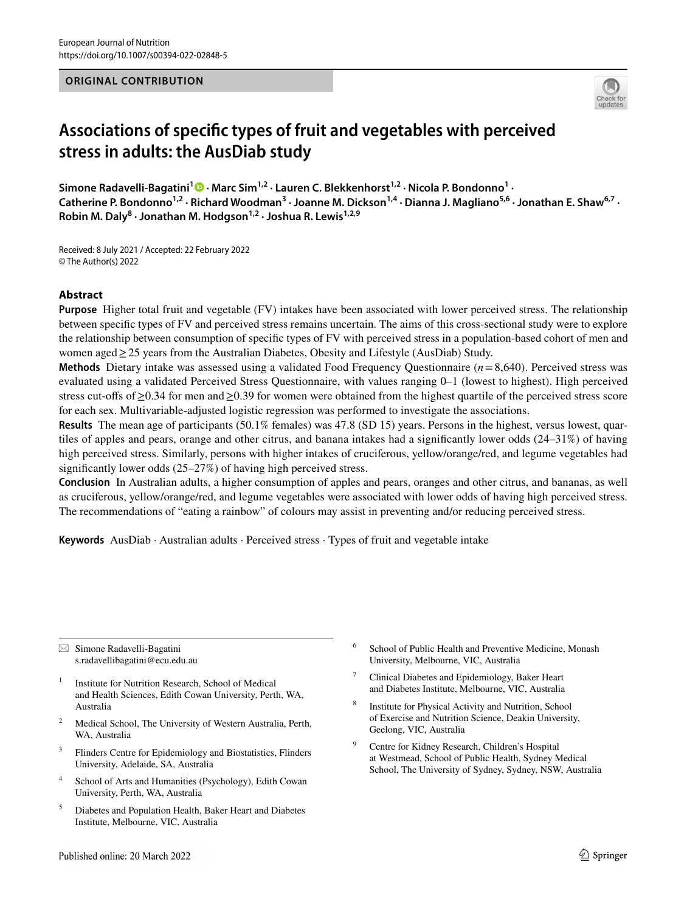## **ORIGINAL CONTRIBUTION**



## **Associations of specifc types of fruit and vegetables with perceived stress in adults: the AusDiab study**

**Simone Radavelli‑Bagatini<sup>1</sup> · Marc Sim1,2 · Lauren C. Blekkenhorst1,2 · Nicola P. Bondonno1 ·**  Catherine P. Bondonno<sup>1,2</sup> · Richard Woodman<sup>3</sup> · Joanne M. Dickson<sup>1,4</sup> · Dianna J. Magliano<sup>5,6</sup> · Jonathan E. Shaw<sup>6,7</sup> · **Robin M. Daly<sup>8</sup> · Jonathan M. Hodgson1,2 · Joshua R. Lewis1,2,9**

Received: 8 July 2021 / Accepted: 22 February 2022 © The Author(s) 2022

## **Abstract**

**Purpose** Higher total fruit and vegetable (FV) intakes have been associated with lower perceived stress. The relationship between specifc types of FV and perceived stress remains uncertain. The aims of this cross-sectional study were to explore the relationship between consumption of specifc types of FV with perceived stress in a population-based cohort of men and women aged≥25 years from the Australian Diabetes, Obesity and Lifestyle (AusDiab) Study.

**Methods** Dietary intake was assessed using a validated Food Frequency Questionnaire (*n*=8,640). Perceived stress was evaluated using a validated Perceived Stress Questionnaire, with values ranging 0–1 (lowest to highest). High perceived stress cut-offs of ≥0.34 for men and ≥0.39 for women were obtained from the highest quartile of the perceived stress score for each sex. Multivariable-adjusted logistic regression was performed to investigate the associations.

**Results** The mean age of participants (50.1% females) was 47.8 (SD 15) years. Persons in the highest, versus lowest, quartiles of apples and pears, orange and other citrus, and banana intakes had a signifcantly lower odds (24–31%) of having high perceived stress. Similarly, persons with higher intakes of cruciferous, yellow/orange/red, and legume vegetables had signifcantly lower odds (25–27%) of having high perceived stress.

**Conclusion** In Australian adults, a higher consumption of apples and pears, oranges and other citrus, and bananas, as well as cruciferous, yellow/orange/red, and legume vegetables were associated with lower odds of having high perceived stress. The recommendations of "eating a rainbow" of colours may assist in preventing and/or reducing perceived stress.

**Keywords** AusDiab · Australian adults · Perceived stress · Types of fruit and vegetable intake

 $\boxtimes$  Simone Radavelli-Bagatini s.radavellibagatini@ecu.edu.au

- <sup>1</sup> Institute for Nutrition Research, School of Medical and Health Sciences, Edith Cowan University, Perth, WA, Australia
- <sup>2</sup> Medical School, The University of Western Australia, Perth, WA, Australia
- <sup>3</sup> Flinders Centre for Epidemiology and Biostatistics, Flinders University, Adelaide, SA, Australia
- <sup>4</sup> School of Arts and Humanities (Psychology), Edith Cowan University, Perth, WA, Australia
- <sup>5</sup> Diabetes and Population Health, Baker Heart and Diabetes Institute, Melbourne, VIC, Australia
- <sup>6</sup> School of Public Health and Preventive Medicine, Monash University, Melbourne, VIC, Australia
- Clinical Diabetes and Epidemiology, Baker Heart and Diabetes Institute, Melbourne, VIC, Australia
- Institute for Physical Activity and Nutrition, School of Exercise and Nutrition Science, Deakin University, Geelong, VIC, Australia
- <sup>9</sup> Centre for Kidney Research, Children's Hospital at Westmead, School of Public Health, Sydney Medical School, The University of Sydney, Sydney, NSW, Australia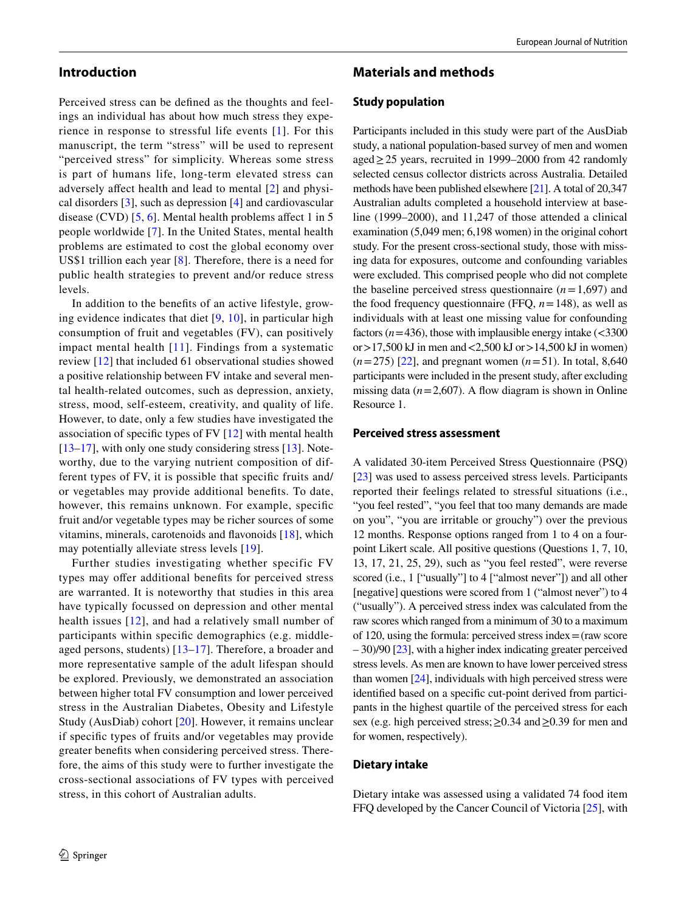## **Introduction**

Perceived stress can be defned as the thoughts and feelings an individual has about how much stress they experience in response to stressful life events [[1\]](#page-9-0). For this manuscript, the term "stress" will be used to represent "perceived stress" for simplicity. Whereas some stress is part of humans life, long-term elevated stress can adversely afect health and lead to mental [[2\]](#page-9-1) and physical disorders [\[3](#page-9-2)], such as depression [\[4\]](#page-9-3) and cardiovascular disease (CVD)  $[5, 6]$  $[5, 6]$  $[5, 6]$ . Mental health problems affect 1 in 5 people worldwide [\[7\]](#page-9-6). In the United States, mental health problems are estimated to cost the global economy over US\$1 trillion each year [\[8](#page-10-0)]. Therefore, there is a need for public health strategies to prevent and/or reduce stress levels.

In addition to the benefts of an active lifestyle, growing evidence indicates that diet [[9](#page-10-1), [10\]](#page-10-2), in particular high consumption of fruit and vegetables (FV), can positively impact mental health [[11\]](#page-10-3). Findings from a systematic review [[12\]](#page-10-4) that included 61 observational studies showed a positive relationship between FV intake and several mental health-related outcomes, such as depression, anxiety, stress, mood, self-esteem, creativity, and quality of life. However, to date, only a few studies have investigated the association of specifc types of FV [[12](#page-10-4)] with mental health [\[13–](#page-10-5)[17\]](#page-10-6), with only one study considering stress [[13](#page-10-5)]. Noteworthy, due to the varying nutrient composition of different types of FV, it is possible that specifc fruits and/ or vegetables may provide additional benefts. To date, however, this remains unknown. For example, specifc fruit and/or vegetable types may be richer sources of some vitamins, minerals, carotenoids and favonoids [[18](#page-10-7)], which may potentially alleviate stress levels [\[19\]](#page-10-8).

Further studies investigating whether specific FV types may offer additional benefits for perceived stress are warranted. It is noteworthy that studies in this area have typically focussed on depression and other mental health issues [\[12\]](#page-10-4), and had a relatively small number of participants within specifc demographics (e.g. middleaged persons, students)  $[13-17]$  $[13-17]$  $[13-17]$  $[13-17]$ . Therefore, a broader and more representative sample of the adult lifespan should be explored. Previously, we demonstrated an association between higher total FV consumption and lower perceived stress in the Australian Diabetes, Obesity and Lifestyle Study (AusDiab) cohort [\[20\]](#page-10-9). However, it remains unclear if specifc types of fruits and/or vegetables may provide greater benefts when considering perceived stress. Therefore, the aims of this study were to further investigate the cross-sectional associations of FV types with perceived stress, in this cohort of Australian adults.

## **Materials and methods**

#### **Study population**

Participants included in this study were part of the AusDiab study, a national population-based survey of men and women aged $\geq$  25 years, recruited in 1999–2000 from 42 randomly selected census collector districts across Australia. Detailed methods have been published elsewhere [[21](#page-10-10)]. A total of 20,347 Australian adults completed a household interview at baseline (1999–2000), and 11,247 of those attended a clinical examination (5,049 men; 6,198 women) in the original cohort study. For the present cross-sectional study, those with missing data for exposures, outcome and confounding variables were excluded. This comprised people who did not complete the baseline perceived stress questionnaire  $(n=1,697)$  and the food frequency questionnaire (FFQ, *n*=148), as well as individuals with at least one missing value for confounding factors ( $n=436$ ), those with implausible energy intake ( $\lt$ 3300 or $>17,500$  kJ in men and  $<2,500$  kJ or $>14,500$  kJ in women)  $(n=275)$  [[22\]](#page-10-11), and pregnant women  $(n=51)$ . In total, 8,640 participants were included in the present study, after excluding missing data  $(n=2,607)$ . A flow diagram is shown in Online Resource 1.

#### **Perceived stress assessment**

A validated 30-item Perceived Stress Questionnaire (PSQ) [\[23](#page-10-12)] was used to assess perceived stress levels. Participants reported their feelings related to stressful situations (i.e., "you feel rested", "you feel that too many demands are made on you", "you are irritable or grouchy") over the previous 12 months. Response options ranged from 1 to 4 on a fourpoint Likert scale. All positive questions (Questions 1, 7, 10, 13, 17, 21, 25, 29), such as "you feel rested", were reverse scored (i.e., 1 ["usually"] to 4 ["almost never"]) and all other [negative] questions were scored from 1 ("almost never") to 4 ("usually"). A perceived stress index was calculated from the raw scores which ranged from a minimum of 30 to a maximum of 120, using the formula: perceived stress index  $=$  (raw score – 30)/90 [[23](#page-10-12)], with a higher index indicating greater perceived stress levels. As men are known to have lower perceived stress than women [\[24](#page-10-13)], individuals with high perceived stress were identifed based on a specifc cut-point derived from participants in the highest quartile of the perceived stress for each sex (e.g. high perceived stress; ≥0.34 and ≥0.39 for men and for women, respectively).

#### **Dietary intake**

Dietary intake was assessed using a validated 74 food item FFQ developed by the Cancer Council of Victoria [\[25](#page-10-14)], with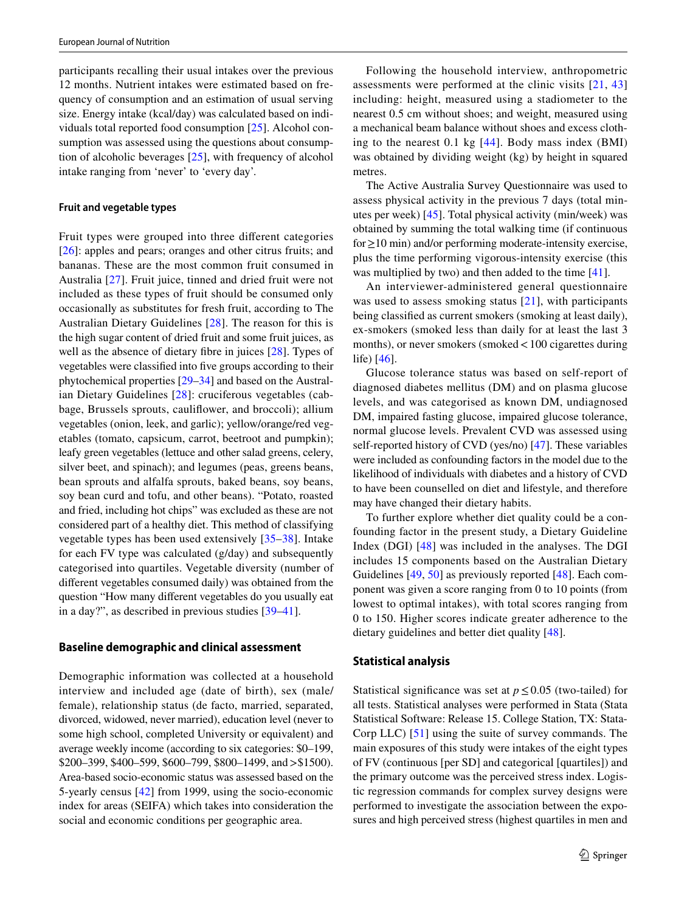participants recalling their usual intakes over the previous 12 months. Nutrient intakes were estimated based on frequency of consumption and an estimation of usual serving size. Energy intake (kcal/day) was calculated based on individuals total reported food consumption [[25\]](#page-10-14). Alcohol consumption was assessed using the questions about consumption of alcoholic beverages [\[25](#page-10-14)], with frequency of alcohol intake ranging from 'never' to 'every day'.

#### **Fruit and vegetable types**

Fruit types were grouped into three diferent categories [\[26\]](#page-10-15): apples and pears; oranges and other citrus fruits; and bananas. These are the most common fruit consumed in Australia [[27\]](#page-10-16). Fruit juice, tinned and dried fruit were not included as these types of fruit should be consumed only occasionally as substitutes for fresh fruit, according to The Australian Dietary Guidelines [[28\]](#page-10-17). The reason for this is the high sugar content of dried fruit and some fruit juices, as well as the absence of dietary fbre in juices [\[28](#page-10-17)]. Types of vegetables were classifed into fve groups according to their phytochemical properties [[29–](#page-10-18)[34\]](#page-10-19) and based on the Australian Dietary Guidelines [\[28\]](#page-10-17): cruciferous vegetables (cabbage, Brussels sprouts, caulifower, and broccoli); allium vegetables (onion, leek, and garlic); yellow/orange/red vegetables (tomato, capsicum, carrot, beetroot and pumpkin); leafy green vegetables (lettuce and other salad greens, celery, silver beet, and spinach); and legumes (peas, greens beans, bean sprouts and alfalfa sprouts, baked beans, soy beans, soy bean curd and tofu, and other beans). "Potato, roasted and fried, including hot chips" was excluded as these are not considered part of a healthy diet. This method of classifying vegetable types has been used extensively [\[35–](#page-10-20)[38\]](#page-10-21). Intake for each FV type was calculated (g/day) and subsequently categorised into quartiles. Vegetable diversity (number of diferent vegetables consumed daily) was obtained from the question "How many diferent vegetables do you usually eat in a day?", as described in previous studies [[39](#page-10-22)[–41](#page-10-23)].

## **Baseline demographic and clinical assessment**

Demographic information was collected at a household interview and included age (date of birth), sex (male/ female), relationship status (de facto, married, separated, divorced, widowed, never married), education level (never to some high school, completed University or equivalent) and average weekly income (according to six categories: \$0–199, \$200–399, \$400–599, \$600–799, \$800–1499, and>\$1500). Area-based socio-economic status was assessed based on the 5-yearly census [\[42\]](#page-11-0) from 1999, using the socio-economic index for areas (SEIFA) which takes into consideration the social and economic conditions per geographic area.

Following the household interview, anthropometric assessments were performed at the clinic visits [[21](#page-10-10), [43\]](#page-11-1) including: height, measured using a stadiometer to the nearest 0.5 cm without shoes; and weight, measured using a mechanical beam balance without shoes and excess clothing to the nearest 0.1 kg [[44](#page-11-2)]. Body mass index (BMI) was obtained by dividing weight (kg) by height in squared metres.

The Active Australia Survey Questionnaire was used to assess physical activity in the previous 7 days (total minutes per week) [\[45](#page-11-3)]. Total physical activity (min/week) was obtained by summing the total walking time (if continuous for≥10 min) and/or performing moderate-intensity exercise, plus the time performing vigorous-intensity exercise (this was multiplied by two) and then added to the time [\[41\]](#page-10-23).

An interviewer-administered general questionnaire was used to assess smoking status [[21](#page-10-10)], with participants being classifed as current smokers (smoking at least daily), ex-smokers (smoked less than daily for at least the last 3 months), or never smokers (smoked < 100 cigarettes during life) [[46\]](#page-11-4).

Glucose tolerance status was based on self-report of diagnosed diabetes mellitus (DM) and on plasma glucose levels, and was categorised as known DM, undiagnosed DM, impaired fasting glucose, impaired glucose tolerance, normal glucose levels. Prevalent CVD was assessed using self-reported history of CVD (yes/no) [\[47](#page-11-5)]. These variables were included as confounding factors in the model due to the likelihood of individuals with diabetes and a history of CVD to have been counselled on diet and lifestyle, and therefore may have changed their dietary habits.

To further explore whether diet quality could be a confounding factor in the present study, a Dietary Guideline Index (DGI) [[48\]](#page-11-6) was included in the analyses. The DGI includes 15 components based on the Australian Dietary Guidelines [[49,](#page-11-7) [50](#page-11-8)] as previously reported [\[48\]](#page-11-6). Each component was given a score ranging from 0 to 10 points (from lowest to optimal intakes), with total scores ranging from 0 to 150. Higher scores indicate greater adherence to the dietary guidelines and better diet quality [[48\]](#page-11-6).

#### **Statistical analysis**

Statistical significance was set at  $p \leq 0.05$  (two-tailed) for all tests. Statistical analyses were performed in Stata (Stata Statistical Software: Release 15. College Station, TX: Stata-Corp LLC) [[51\]](#page-11-9) using the suite of survey commands. The main exposures of this study were intakes of the eight types of FV (continuous [per SD] and categorical [quartiles]) and the primary outcome was the perceived stress index. Logistic regression commands for complex survey designs were performed to investigate the association between the exposures and high perceived stress (highest quartiles in men and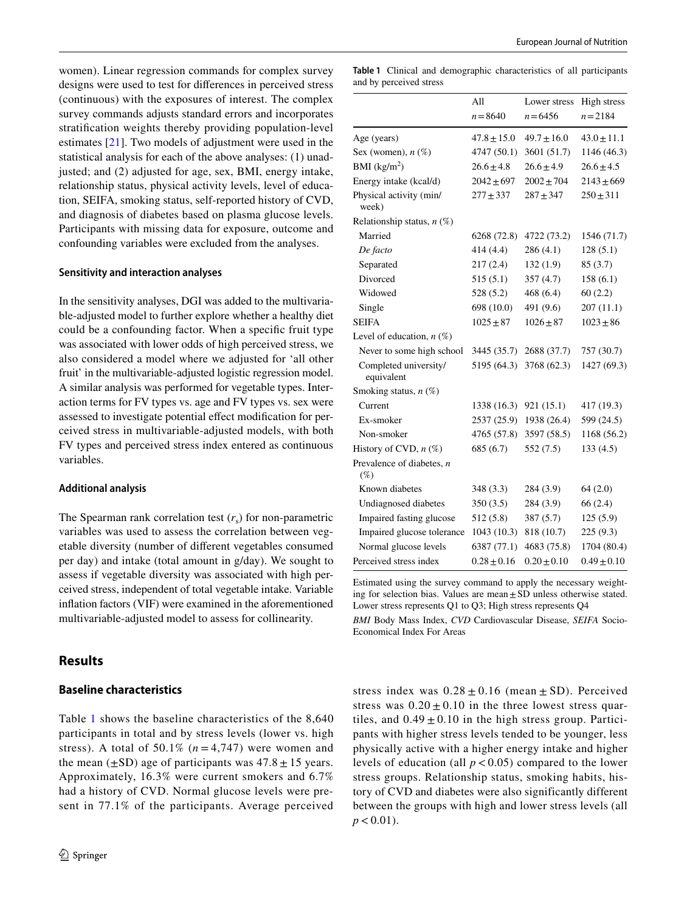women). Linear regression commands for complex survey designs were used to test for diferences in perceived stress (continuous) with the exposures of interest. The complex survey commands adjusts standard errors and incorporates stratifcation weights thereby providing population-level estimates [[21\]](#page-10-10). Two models of adjustment were used in the statistical analysis for each of the above analyses: (1) unadjusted; and (2) adjusted for age, sex, BMI, energy intake, relationship status, physical activity levels, level of education, SEIFA, smoking status, self-reported history of CVD, and diagnosis of diabetes based on plasma glucose levels. Participants with missing data for exposure, outcome and confounding variables were excluded from the analyses.

#### **Sensitivity and interaction analyses**

In the sensitivity analyses, DGI was added to the multivariable-adjusted model to further explore whether a healthy diet could be a confounding factor. When a specifc fruit type was associated with lower odds of high perceived stress, we also considered a model where we adjusted for 'all other fruit' in the multivariable-adjusted logistic regression model. A similar analysis was performed for vegetable types. Interaction terms for FV types vs. age and FV types vs. sex were assessed to investigate potential efect modifcation for perceived stress in multivariable-adjusted models, with both FV types and perceived stress index entered as continuous variables.

#### **Additional analysis**

The Spearman rank correlation test  $(r<sub>s</sub>)$  for non-parametric variables was used to assess the correlation between vegetable diversity (number of diferent vegetables consumed per day) and intake (total amount in g/day). We sought to assess if vegetable diversity was associated with high perceived stress, independent of total vegetable intake. Variable infation factors (VIF) were examined in the aforementioned multivariable-adjusted model to assess for collinearity.

## **Results**

#### **Baseline characteristics**

Table [1](#page-5-0) shows the baseline characteristics of the 8,640 participants in total and by stress levels (lower vs. high stress). A total of 50.1%  $(n=4,747)$  were women and the mean  $(\pm SD)$  age of participants was  $47.8 \pm 15$  years. Approximately, 16.3% were current smokers and 6.7% had a history of CVD. Normal glucose levels were present in 77.1% of the participants. Average perceived

<span id="page-5-0"></span>**Table 1** Clinical and demographic characteristics of all participants and by perceived stress

|                                       | All             | Lower stress    | High stress     |
|---------------------------------------|-----------------|-----------------|-----------------|
|                                       | $n = 8640$      | $n = 6456$      | $n = 2184$      |
| Age (years)                           | $47.8 \pm 15.0$ | $49.7 \pm 16.0$ | $43.0 \pm 11.1$ |
| Sex (women), $n$ (%)                  | 4747 (50.1)     | 3601 (51.7)     | 1146 (46.3)     |
| BMI $(kg/m2)$                         | $26.6 \pm 4.8$  | $26.6 \pm 4.9$  | $26.6 \pm 4.5$  |
| Energy intake (kcal/d)                | $2042 \pm 697$  | $2002 \pm 704$  | $2143 \pm 669$  |
| Physical activity (min/<br>week)      | $277 + 337$     | $287 + 347$     | $250 \pm 311$   |
| Relationship status, $n$ (%)          |                 |                 |                 |
| Married                               | 6268 (72.8)     | 4722 (73.2)     | 1546 (71.7)     |
| De facto                              | 414(4.4)        | 286(4.1)        | 128(5.1)        |
| Separated                             | 217(2.4)        | 132(1.9)        | 85(3.7)         |
| Divorced                              | 515(5.1)        | 357(4.7)        | 158(6.1)        |
| Widowed                               | 528(5.2)        | 468(6.4)        | 60(2.2)         |
| Single                                | 698 (10.0)      | 491 (9.6)       | 207 (11.1)      |
| <b>SEIFA</b>                          | $1025 \pm 87$   | $1026 + 87$     | $1023 \pm 86$   |
| Level of education, $n$ (%)           |                 |                 |                 |
| Never to some high school             | 3445 (35.7)     | 2688 (37.7)     | 757 (30.7)      |
| Completed university/<br>equivalent   | 5195 (64.3)     | 3768 (62.3)     | 1427 (69.3)     |
| Smoking status, $n$ (%)               |                 |                 |                 |
| Current                               | 1338 (16.3)     | 921 (15.1)      | 417 (19.3)      |
| Ex-smoker                             | 2537 (25.9)     | 1938 (26.4)     | 599 (24.5)      |
| Non-smoker                            | 4765 (57.8)     | 3597 (58.5)     | 1168 (56.2)     |
| History of CVD, $n$ (%)               | 685 (6.7)       | 552 (7.5)       | 133(4.5)        |
| Prevalence of diabetes, $n$<br>$(\%)$ |                 |                 |                 |
| Known diabetes                        | 348 (3.3)       | 284 (3.9)       | 64(2.0)         |
| Undiagnosed diabetes                  | 350(3.5)        | 284 (3.9)       | 66(2.4)         |
| Impaired fasting glucose              | 512(5.8)        | 387(5.7)        | 125(5.9)        |
| Impaired glucose tolerance            | 1043 (10.3)     | 818 (10.7)      | 225(9.3)        |
| Normal glucose levels                 | 6387 (77.1)     | 4683 (75.8)     | 1704 (80.4)     |
| Perceived stress index                | $0.28 \pm 0.16$ | $0.20 \pm 0.10$ | $0.49 \pm 0.10$ |

Estimated using the survey command to apply the necessary weighting for selection bias. Values are mean $\pm$ SD unless otherwise stated. Lower stress represents Q1 to Q3; High stress represents Q4

*BMI* Body Mass Index, *CVD* Cardiovascular Disease, *SEIFA* Socio-Economical Index For Areas

stress index was  $0.28 \pm 0.16$  (mean  $\pm$  SD). Perceived stress was  $0.20 \pm 0.10$  in the three lowest stress quartiles, and  $0.49 \pm 0.10$  in the high stress group. Participants with higher stress levels tended to be younger, less physically active with a higher energy intake and higher levels of education (all  $p < 0.05$ ) compared to the lower stress groups. Relationship status, smoking habits, history of CVD and diabetes were also significantly different between the groups with high and lower stress levels (all  $p < 0.01$ ).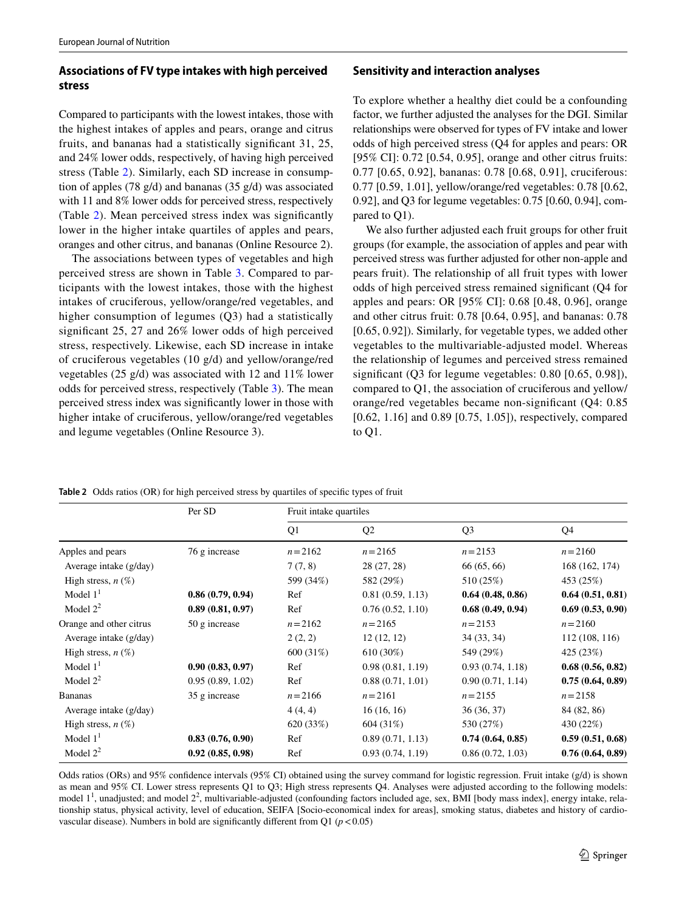## **Associations of FV type intakes with high perceived stress**

Compared to participants with the lowest intakes, those with the highest intakes of apples and pears, orange and citrus fruits, and bananas had a statistically signifcant 31, 25, and 24% lower odds, respectively, of having high perceived stress (Table [2](#page-6-0)). Similarly, each SD increase in consumption of apples (78 g/d) and bananas (35 g/d) was associated with 11 and 8% lower odds for perceived stress, respectively (Table [2](#page-6-0)). Mean perceived stress index was signifcantly lower in the higher intake quartiles of apples and pears, oranges and other citrus, and bananas (Online Resource 2).

The associations between types of vegetables and high perceived stress are shown in Table [3](#page-7-0). Compared to participants with the lowest intakes, those with the highest intakes of cruciferous, yellow/orange/red vegetables, and higher consumption of legumes (Q3) had a statistically signifcant 25, 27 and 26% lower odds of high perceived stress, respectively. Likewise, each SD increase in intake of cruciferous vegetables (10 g/d) and yellow/orange/red vegetables (25 g/d) was associated with 12 and 11% lower odds for perceived stress, respectively (Table [3\)](#page-7-0). The mean perceived stress index was signifcantly lower in those with higher intake of cruciferous, yellow/orange/red vegetables and legume vegetables (Online Resource 3).

## **Sensitivity and interaction analyses**

To explore whether a healthy diet could be a confounding factor, we further adjusted the analyses for the DGI. Similar relationships were observed for types of FV intake and lower odds of high perceived stress (Q4 for apples and pears: OR [95% CI]: 0.72 [0.54, 0.95], orange and other citrus fruits: 0.77 [0.65, 0.92], bananas: 0.78 [0.68, 0.91], cruciferous: 0.77 [0.59, 1.01], yellow/orange/red vegetables: 0.78 [0.62, 0.92], and Q3 for legume vegetables: 0.75 [0.60, 0.94], compared to Q1).

We also further adjusted each fruit groups for other fruit groups (for example, the association of apples and pear with perceived stress was further adjusted for other non-apple and pears fruit). The relationship of all fruit types with lower odds of high perceived stress remained signifcant (Q4 for apples and pears: OR [95% CI]: 0.68 [0.48, 0.96], orange and other citrus fruit: 0.78 [0.64, 0.95], and bananas: 0.78 [0.65, 0.92]). Similarly, for vegetable types, we added other vegetables to the multivariable-adjusted model. Whereas the relationship of legumes and perceived stress remained significant (Q3 for legume vegetables: 0.80 [0.65, 0.98]), compared to Q1, the association of cruciferous and yellow/ orange/red vegetables became non-signifcant (Q4: 0.85 [0.62, 1.16] and 0.89 [0.75, 1.05]), respectively, compared to Q1.

<span id="page-6-0"></span>**Table 2** Odds ratios (OR) for high perceived stress by quartiles of specifc types of fruit

|                         | Per SD           | Fruit intake quartiles |                  |                  |                  |  |
|-------------------------|------------------|------------------------|------------------|------------------|------------------|--|
|                         |                  | Q1                     | Q <sub>2</sub>   | Q <sub>3</sub>   | Q4               |  |
| Apples and pears        | 76 g increase    | $n = 2162$             | $n = 2165$       | $n = 2153$       | $n = 2160$       |  |
| Average intake (g/day)  |                  | 7(7, 8)                | 28 (27, 28)      | 66 (65, 66)      | 168 (162, 174)   |  |
| High stress, $n(\%)$    |                  | 599 (34%)              | 582 (29%)        | 510 (25%)        | 453 (25%)        |  |
| Model $11$              | 0.86(0.79, 0.94) | Ref                    | 0.81(0.59, 1.13) | 0.64(0.48, 0.86) | 0.64(0.51, 0.81) |  |
| Model $2^2$             | 0.89(0.81, 0.97) | Ref                    | 0.76(0.52, 1.10) | 0.68(0.49, 0.94) | 0.69(0.53, 0.90) |  |
| Orange and other citrus | 50 g increase    | $n = 2162$             | $n = 2165$       | $n = 2153$       | $n = 2160$       |  |
| Average intake (g/day)  |                  | 2(2, 2)                | 12(12, 12)       | 34 (33, 34)      | 112(108, 116)    |  |
| High stress, $n(\%)$    |                  | 600 (31%)              | 610 (30%)        | 549 (29%)        | 425 (23%)        |  |
| Model $11$              | 0.90(0.83, 0.97) | Ref                    | 0.98(0.81, 1.19) | 0.93(0.74, 1.18) | 0.68(0.56, 0.82) |  |
| Model $2^2$             | 0.95(0.89, 1.02) | Ref                    | 0.88(0.71, 1.01) | 0.90(0.71, 1.14) | 0.75(0.64, 0.89) |  |
| <b>Bananas</b>          | 35 g increase    | $n = 2166$             | $n = 2161$       | $n = 2155$       | $n = 2158$       |  |
| Average intake (g/day)  |                  | 4(4, 4)                | 16(16, 16)       | 36 (36, 37)      | 84 (82, 86)      |  |
| High stress, $n(\%)$    |                  | 620 (33%)              | 604 (31%)        | 530 (27%)        | 430 (22%)        |  |
| Model $11$              | 0.83(0.76, 0.90) | Ref                    | 0.89(0.71, 1.13) | 0.74(0.64, 0.85) | 0.59(0.51, 0.68) |  |
| Model $2^2$             | 0.92(0.85, 0.98) | Ref                    | 0.93(0.74, 1.19) | 0.86(0.72, 1.03) | 0.76(0.64, 0.89) |  |

Odds ratios (ORs) and 95% confdence intervals (95% CI) obtained using the survey command for logistic regression. Fruit intake (g/d) is shown as mean and 95% CI. Lower stress represents Q1 to Q3; High stress represents Q4. Analyses were adjusted according to the following models: model  $1<sup>1</sup>$ , unadjusted; and model  $2<sup>2</sup>$ , multivariable-adjusted (confounding factors included age, sex, BMI [body mass index], energy intake, relationship status, physical activity, level of education, SEIFA [Socio-economical index for areas], smoking status, diabetes and history of cardiovascular disease). Numbers in bold are significantly different from  $Q1 (p < 0.05)$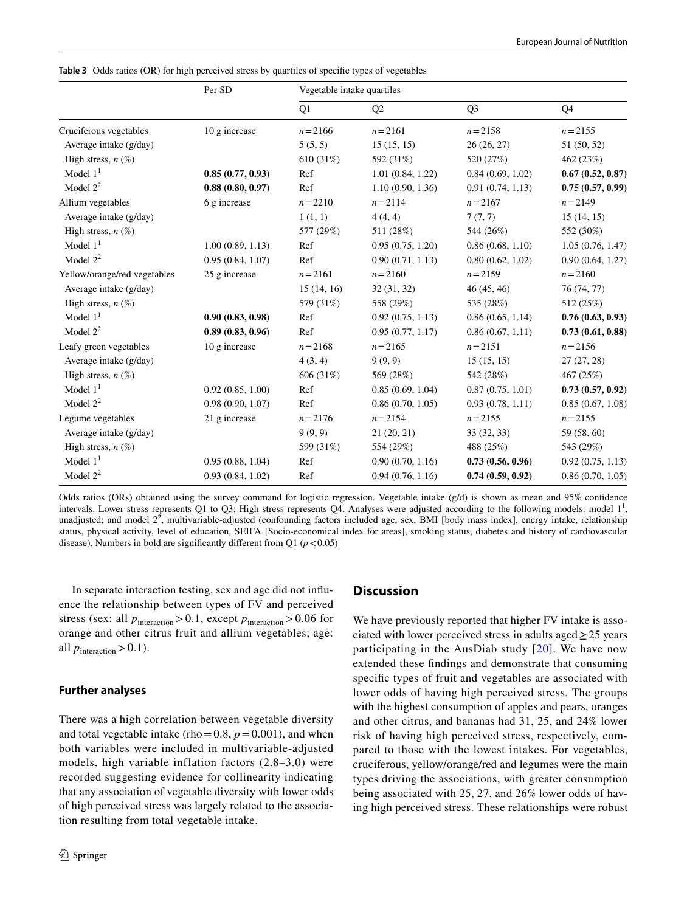|                              | Per SD           | Vegetable intake quartiles |                  |                  |                  |
|------------------------------|------------------|----------------------------|------------------|------------------|------------------|
|                              |                  | Q1                         | Q <sub>2</sub>   | Q <sub>3</sub>   | Q <sub>4</sub>   |
| Cruciferous vegetables       | 10 g increase    | $n = 2166$                 | $n = 2161$       | $n = 2158$       | $n = 2155$       |
| Average intake (g/day)       |                  | 5(5, 5)                    | 15(15, 15)       | 26 (26, 27)      | 51 (50, 52)      |
| High stress, $n(\%)$         |                  | 610(31%)                   | 592 (31%)        | 520 (27%)        | 462 (23%)        |
| Model $11$                   | 0.85(0.77, 0.93) | Ref                        | 1.01(0.84, 1.22) | 0.84(0.69, 1.02) | 0.67(0.52, 0.87) |
| Model $2^2$                  | 0.88(0.80, 0.97) | Ref                        | 1.10(0.90, 1.36) | 0.91(0.74, 1.13) | 0.75(0.57, 0.99) |
| Allium vegetables            | 6 g increase     | $n = 2210$                 | $n = 2114$       | $n = 2167$       | $n = 2149$       |
| Average intake (g/day)       |                  | 1(1, 1)                    | 4(4, 4)          | 7(7, 7)          | 15(14, 15)       |
| High stress, $n(\%)$         |                  | 577 (29%)                  | 511 (28%)        | 544 (26%)        | 552 (30%)        |
| Model $11$                   | 1.00(0.89, 1.13) | Ref                        | 0.95(0.75, 1.20) | 0.86(0.68, 1.10) | 1.05(0.76, 1.47) |
| Model $2^2$                  | 0.95(0.84, 1.07) | Ref                        | 0.90(0.71, 1.13) | 0.80(0.62, 1.02) | 0.90(0.64, 1.27) |
| Yellow/orange/red vegetables | 25 g increase    | $n = 2161$                 | $n = 2160$       | $n = 2159$       | $n = 2160$       |
| Average intake (g/day)       |                  | 15(14, 16)                 | 32(31, 32)       | 46 (45, 46)      | 76 (74, 77)      |
| High stress, $n(\%)$         |                  | 579 (31%)                  | 558 (29%)        | 535 (28%)        | 512 (25%)        |
| Model $11$                   | 0.90(0.83, 0.98) | Ref                        | 0.92(0.75, 1.13) | 0.86(0.65, 1.14) | 0.76(0.63, 0.93) |
| Model $2^2$                  | 0.89(0.83, 0.96) | Ref                        | 0.95(0.77, 1.17) | 0.86(0.67, 1.11) | 0.73(0.61, 0.88) |
| Leafy green vegetables       | 10 g increase    | $n = 2168$                 | $n = 2165$       | $n = 2151$       | $n = 2156$       |
| Average intake (g/day)       |                  | 4(3, 4)                    | 9(9, 9)          | 15(15, 15)       | 27(27, 28)       |
| High stress, $n$ (%)         |                  | 606 (31%)                  | 569 (28%)        | 542 (28%)        | 467 (25%)        |
| Model $11$                   | 0.92(0.85, 1.00) | Ref                        | 0.85(0.69, 1.04) | 0.87(0.75, 1.01) | 0.73(0.57, 0.92) |
| Model $2^2$                  | 0.98(0.90, 1.07) | Ref                        | 0.86(0.70, 1.05) | 0.93(0.78, 1.11) | 0.85(0.67, 1.08) |
| Legume vegetables            | 21 g increase    | $n = 2176$                 | $n = 2154$       | $n = 2155$       | $n = 2155$       |
| Average intake (g/day)       |                  | 9(9, 9)                    | 21(20, 21)       | 33 (32, 33)      | 59 (58, 60)      |
| High stress, $n(\%)$         |                  | 599 (31%)                  | 554 (29%)        | 488 (25%)        | 543 (29%)        |
| Model $11$                   | 0.95(0.88, 1.04) | Ref                        | 0.90(0.70, 1.16) | 0.73(0.56, 0.96) | 0.92(0.75, 1.13) |
| Model $2^2$                  | 0.93(0.84, 1.02) | Ref                        | 0.94(0.76, 1.16) | 0.74(0.59, 0.92) | 0.86(0.70, 1.05) |

<span id="page-7-0"></span>**Table 3** Odds ratios (OR) for high perceived stress by quartiles of specifc types of vegetables

Odds ratios (ORs) obtained using the survey command for logistic regression. Vegetable intake (g/d) is shown as mean and 95% confdence intervals. Lower stress represents Q1 to Q3; High stress represents Q4. Analyses were adjusted according to the following models: model  $1<sup>1</sup>$ , unadjusted; and model  $2^2$ , multivariable-adjusted (confounding factors included age, sex, BMI [body mass index], energy intake, relationship status, physical activity, level of education, SEIFA [Socio-economical index for areas], smoking status, diabetes and history of cardiovascular disease). Numbers in bold are significantly different from  $Q1$  ( $p < 0.05$ )

In separate interaction testing, sex and age did not infuence the relationship between types of FV and perceived stress (sex: all  $p_{\text{interaction}} > 0.1$ , except  $p_{\text{interaction}} > 0.06$  for orange and other citrus fruit and allium vegetables; age: all  $p_{\text{interaction}} > 0.1$ ).

#### **Further analyses**

There was a high correlation between vegetable diversity and total vegetable intake (rho=0.8,  $p=0.001$ ), and when both variables were included in multivariable-adjusted models, high variable inflation factors (2.8–3.0) were recorded suggesting evidence for collinearity indicating that any association of vegetable diversity with lower odds of high perceived stress was largely related to the association resulting from total vegetable intake.

## **Discussion**

We have previously reported that higher FV intake is associated with lower perceived stress in adults aged  $\geq$  25 years participating in the AusDiab study [[20\]](#page-10-9). We have now extended these fndings and demonstrate that consuming specifc types of fruit and vegetables are associated with lower odds of having high perceived stress. The groups with the highest consumption of apples and pears, oranges and other citrus, and bananas had 31, 25, and 24% lower risk of having high perceived stress, respectively, compared to those with the lowest intakes. For vegetables, cruciferous, yellow/orange/red and legumes were the main types driving the associations, with greater consumption being associated with 25, 27, and 26% lower odds of having high perceived stress. These relationships were robust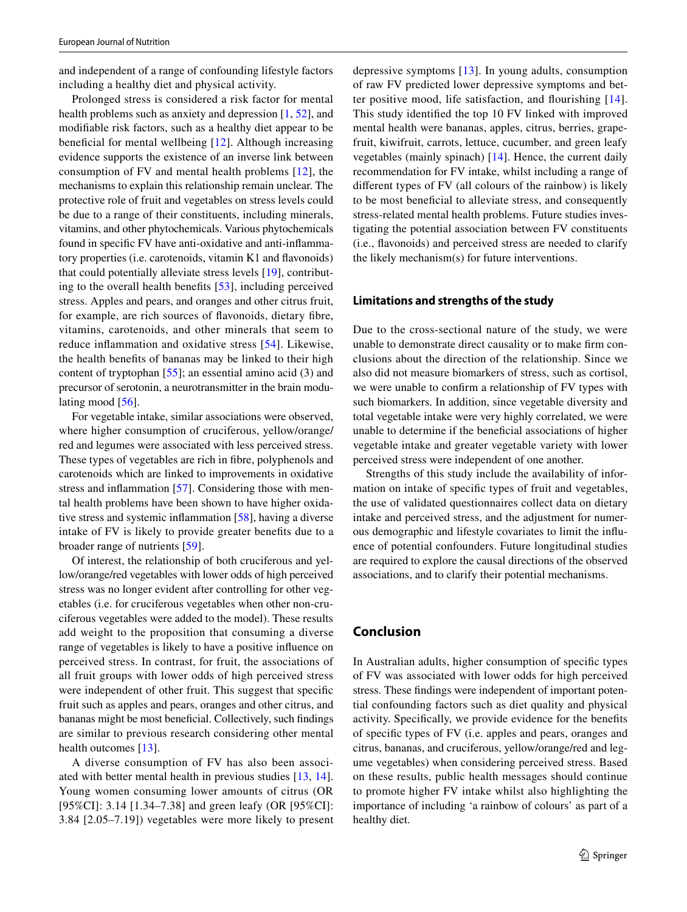and independent of a range of confounding lifestyle factors including a healthy diet and physical activity.

Prolonged stress is considered a risk factor for mental health problems such as anxiety and depression [[1,](#page-9-0) [52](#page-11-10)], and modifable risk factors, such as a healthy diet appear to be beneficial for mental wellbeing  $[12]$  $[12]$  $[12]$ . Although increasing evidence supports the existence of an inverse link between consumption of FV and mental health problems [[12](#page-10-4)], the mechanisms to explain this relationship remain unclear. The protective role of fruit and vegetables on stress levels could be due to a range of their constituents, including minerals, vitamins, and other phytochemicals. Various phytochemicals found in specifc FV have anti-oxidative and anti-infammatory properties (i.e. carotenoids, vitamin K1 and favonoids) that could potentially alleviate stress levels [\[19\]](#page-10-8), contributing to the overall health benefts [[53\]](#page-11-11), including perceived stress. Apples and pears, and oranges and other citrus fruit, for example, are rich sources of favonoids, dietary fbre, vitamins, carotenoids, and other minerals that seem to reduce infammation and oxidative stress [\[54\]](#page-11-12). Likewise, the health benefts of bananas may be linked to their high content of tryptophan [\[55](#page-11-13)]; an essential amino acid (3) and precursor of serotonin, a neurotransmitter in the brain modulating mood  $[56]$  $[56]$ .

For vegetable intake, similar associations were observed, where higher consumption of cruciferous, yellow/orange/ red and legumes were associated with less perceived stress. These types of vegetables are rich in fbre, polyphenols and carotenoids which are linked to improvements in oxidative stress and infammation [[57](#page-11-15)]. Considering those with mental health problems have been shown to have higher oxidative stress and systemic infammation [\[58](#page-11-16)], having a diverse intake of FV is likely to provide greater benefts due to a broader range of nutrients [\[59](#page-11-17)].

Of interest, the relationship of both cruciferous and yellow/orange/red vegetables with lower odds of high perceived stress was no longer evident after controlling for other vegetables (i.e. for cruciferous vegetables when other non-cruciferous vegetables were added to the model). These results add weight to the proposition that consuming a diverse range of vegetables is likely to have a positive infuence on perceived stress. In contrast, for fruit, the associations of all fruit groups with lower odds of high perceived stress were independent of other fruit. This suggest that specifc fruit such as apples and pears, oranges and other citrus, and bananas might be most benefcial. Collectively, such fndings are similar to previous research considering other mental health outcomes [[13\]](#page-10-5).

A diverse consumption of FV has also been associated with better mental health in previous studies [[13,](#page-10-5) [14](#page-10-24)]. Young women consuming lower amounts of citrus (OR [95%CI]: 3.14 [1.34–7.38] and green leafy (OR [95%CI]: 3.84 [2.05–7.19]) vegetables were more likely to present depressive symptoms [\[13\]](#page-10-5). In young adults, consumption of raw FV predicted lower depressive symptoms and better positive mood, life satisfaction, and fourishing [[14](#page-10-24)]. This study identifed the top 10 FV linked with improved mental health were bananas, apples, citrus, berries, grapefruit, kiwifruit, carrots, lettuce, cucumber, and green leafy vegetables (mainly spinach) [\[14\]](#page-10-24). Hence, the current daily recommendation for FV intake, whilst including a range of diferent types of FV (all colours of the rainbow) is likely to be most benefcial to alleviate stress, and consequently stress-related mental health problems. Future studies investigating the potential association between FV constituents (i.e., favonoids) and perceived stress are needed to clarify the likely mechanism(s) for future interventions.

## **Limitations and strengths of the study**

Due to the cross-sectional nature of the study, we were unable to demonstrate direct causality or to make frm conclusions about the direction of the relationship. Since we also did not measure biomarkers of stress, such as cortisol, we were unable to confrm a relationship of FV types with such biomarkers. In addition, since vegetable diversity and total vegetable intake were very highly correlated, we were unable to determine if the benefcial associations of higher vegetable intake and greater vegetable variety with lower perceived stress were independent of one another.

Strengths of this study include the availability of information on intake of specifc types of fruit and vegetables, the use of validated questionnaires collect data on dietary intake and perceived stress, and the adjustment for numerous demographic and lifestyle covariates to limit the infuence of potential confounders. Future longitudinal studies are required to explore the causal directions of the observed associations, and to clarify their potential mechanisms.

## **Conclusion**

In Australian adults, higher consumption of specifc types of FV was associated with lower odds for high perceived stress. These fndings were independent of important potential confounding factors such as diet quality and physical activity. Specifcally, we provide evidence for the benefts of specifc types of FV (i.e. apples and pears, oranges and citrus, bananas, and cruciferous, yellow/orange/red and legume vegetables) when considering perceived stress. Based on these results, public health messages should continue to promote higher FV intake whilst also highlighting the importance of including 'a rainbow of colours' as part of a healthy diet.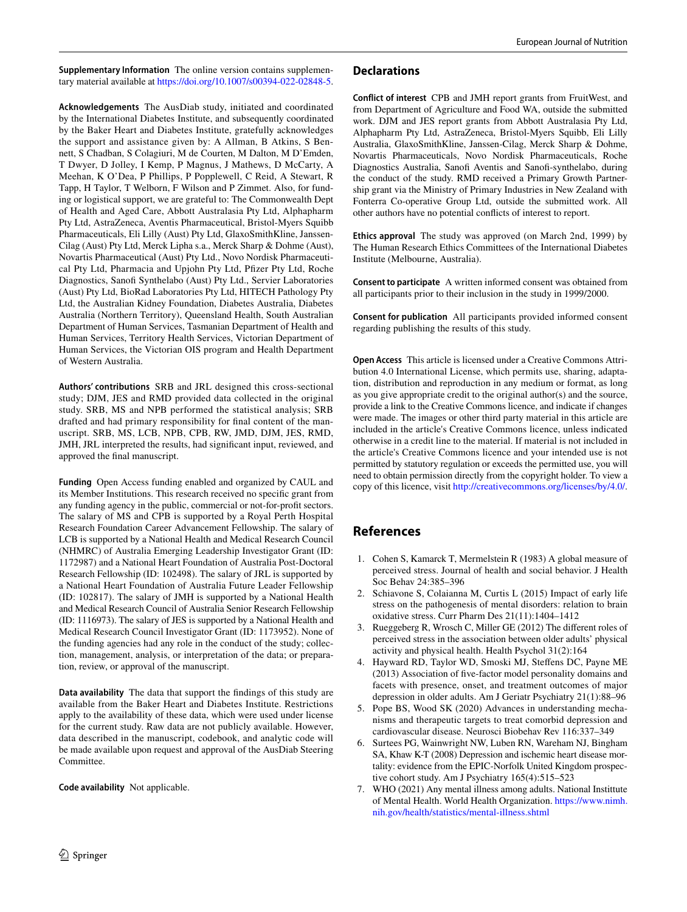**Supplementary Information** The online version contains supplementary material available at<https://doi.org/10.1007/s00394-022-02848-5>.

**Acknowledgements** The AusDiab study, initiated and coordinated by the International Diabetes Institute, and subsequently coordinated by the Baker Heart and Diabetes Institute, gratefully acknowledges the support and assistance given by: A Allman, B Atkins, S Bennett, S Chadban, S Colagiuri, M de Courten, M Dalton, M D'Emden, T Dwyer, D Jolley, I Kemp, P Magnus, J Mathews, D McCarty, A Meehan, K O'Dea, P Phillips, P Popplewell, C Reid, A Stewart, R Tapp, H Taylor, T Welborn, F Wilson and P Zimmet. Also, for funding or logistical support, we are grateful to: The Commonwealth Dept of Health and Aged Care, Abbott Australasia Pty Ltd, Alphapharm Pty Ltd, AstraZeneca, Aventis Pharmaceutical, Bristol-Myers Squibb Pharmaceuticals, Eli Lilly (Aust) Pty Ltd, GlaxoSmithKline, Janssen-Cilag (Aust) Pty Ltd, Merck Lipha s.a., Merck Sharp & Dohme (Aust), Novartis Pharmaceutical (Aust) Pty Ltd., Novo Nordisk Pharmaceutical Pty Ltd, Pharmacia and Upjohn Pty Ltd, Pfzer Pty Ltd, Roche Diagnostics, Sanof Synthelabo (Aust) Pty Ltd., Servier Laboratories (Aust) Pty Ltd, BioRad Laboratories Pty Ltd, HITECH Pathology Pty Ltd, the Australian Kidney Foundation, Diabetes Australia, Diabetes Australia (Northern Territory), Queensland Health, South Australian Department of Human Services, Tasmanian Department of Health and Human Services, Territory Health Services, Victorian Department of Human Services, the Victorian OIS program and Health Department of Western Australia.

**Authors' contributions** SRB and JRL designed this cross-sectional study; DJM, JES and RMD provided data collected in the original study. SRB, MS and NPB performed the statistical analysis; SRB drafted and had primary responsibility for fnal content of the manuscript. SRB, MS, LCB, NPB, CPB, RW, JMD, DJM, JES, RMD, JMH, JRL interpreted the results, had signifcant input, reviewed, and approved the fnal manuscript.

**Funding** Open Access funding enabled and organized by CAUL and its Member Institutions. This research received no specifc grant from any funding agency in the public, commercial or not-for-proft sectors. The salary of MS and CPB is supported by a Royal Perth Hospital Research Foundation Career Advancement Fellowship. The salary of LCB is supported by a National Health and Medical Research Council (NHMRC) of Australia Emerging Leadership Investigator Grant (ID: 1172987) and a National Heart Foundation of Australia Post-Doctoral Research Fellowship (ID: 102498). The salary of JRL is supported by a National Heart Foundation of Australia Future Leader Fellowship (ID: 102817). The salary of JMH is supported by a National Health and Medical Research Council of Australia Senior Research Fellowship (ID: 1116973). The salary of JES is supported by a National Health and Medical Research Council Investigator Grant (ID: 1173952). None of the funding agencies had any role in the conduct of the study; collection, management, analysis, or interpretation of the data; or preparation, review, or approval of the manuscript.

**Data availability** The data that support the fndings of this study are available from the Baker Heart and Diabetes Institute. Restrictions apply to the availability of these data, which were used under license for the current study. Raw data are not publicly available. However, data described in the manuscript, codebook, and analytic code will be made available upon request and approval of the AusDiab Steering Committee.

**Code availability** Not applicable.

#### **Declarations**

**Conflict of interest** CPB and JMH report grants from FruitWest, and from Department of Agriculture and Food WA, outside the submitted work. DJM and JES report grants from Abbott Australasia Pty Ltd, Alphapharm Pty Ltd, AstraZeneca, Bristol-Myers Squibb, Eli Lilly Australia, GlaxoSmithKline, Janssen-Cilag, Merck Sharp & Dohme, Novartis Pharmaceuticals, Novo Nordisk Pharmaceuticals, Roche Diagnostics Australia, Sanof Aventis and Sanof-synthelabo, during the conduct of the study. RMD received a Primary Growth Partnership grant via the Ministry of Primary Industries in New Zealand with Fonterra Co-operative Group Ltd, outside the submitted work. All other authors have no potential conficts of interest to report.

**Ethics approval** The study was approved (on March 2nd, 1999) by The Human Research Ethics Committees of the International Diabetes Institute (Melbourne, Australia).

**Consent to participate** A written informed consent was obtained from all participants prior to their inclusion in the study in 1999/2000.

**Consent for publication** All participants provided informed consent regarding publishing the results of this study.

**Open Access** This article is licensed under a Creative Commons Attribution 4.0 International License, which permits use, sharing, adaptation, distribution and reproduction in any medium or format, as long as you give appropriate credit to the original author(s) and the source, provide a link to the Creative Commons licence, and indicate if changes were made. The images or other third party material in this article are included in the article's Creative Commons licence, unless indicated otherwise in a credit line to the material. If material is not included in the article's Creative Commons licence and your intended use is not permitted by statutory regulation or exceeds the permitted use, you will need to obtain permission directly from the copyright holder. To view a copy of this licence, visit<http://creativecommons.org/licenses/by/4.0/>.

## **References**

- <span id="page-9-0"></span>1. Cohen S, Kamarck T, Mermelstein R (1983) A global measure of perceived stress. Journal of health and social behavior. J Health Soc Behav 24:385–396
- <span id="page-9-1"></span>2. Schiavone S, Colaianna M, Curtis L (2015) Impact of early life stress on the pathogenesis of mental disorders: relation to brain oxidative stress. Curr Pharm Des 21(11):1404–1412
- <span id="page-9-2"></span>3. Rueggeberg R, Wrosch C, Miller GE (2012) The diferent roles of perceived stress in the association between older adults' physical activity and physical health. Health Psychol 31(2):164
- <span id="page-9-3"></span>4. Hayward RD, Taylor WD, Smoski MJ, Stefens DC, Payne ME (2013) Association of fve-factor model personality domains and facets with presence, onset, and treatment outcomes of major depression in older adults. Am J Geriatr Psychiatry 21(1):88–96
- <span id="page-9-4"></span>5. Pope BS, Wood SK (2020) Advances in understanding mechanisms and therapeutic targets to treat comorbid depression and cardiovascular disease. Neurosci Biobehav Rev 116:337–349
- <span id="page-9-5"></span>6. Surtees PG, Wainwright NW, Luben RN, Wareham NJ, Bingham SA, Khaw K-T (2008) Depression and ischemic heart disease mortality: evidence from the EPIC-Norfolk United Kingdom prospective cohort study. Am J Psychiatry 165(4):515–523
- <span id="page-9-6"></span>7. WHO (2021) Any mental illness among adults. National Instittute of Mental Health. World Health Organization. [https://www.nimh.](https://www.nimh.nih.gov/health/statistics/mental-illness.shtml) [nih.gov/health/statistics/mental-illness.shtml](https://www.nimh.nih.gov/health/statistics/mental-illness.shtml)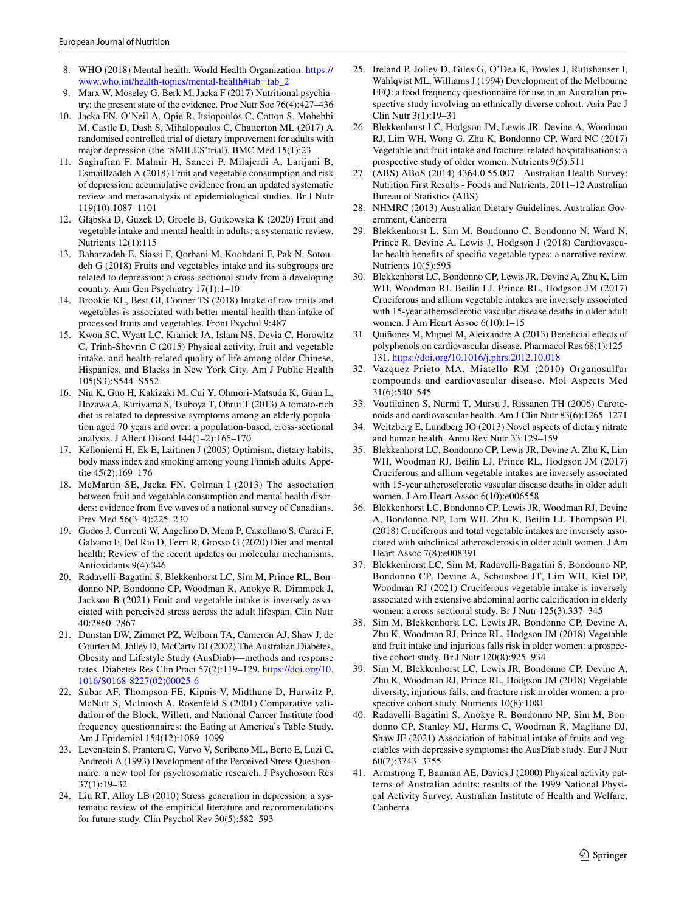- <span id="page-10-0"></span>8. WHO (2018) Mental health. World Health Organization. [https://](https://www.who.int/health-topics/mental-health#tab=tab_2) [www.who.int/health-topics/mental-health#tab=tab\\_2](https://www.who.int/health-topics/mental-health#tab=tab_2)
- <span id="page-10-1"></span>9. Marx W, Moseley G, Berk M, Jacka F (2017) Nutritional psychiatry: the present state of the evidence. Proc Nutr Soc 76(4):427–436
- <span id="page-10-2"></span>10. Jacka FN, O'Neil A, Opie R, Itsiopoulos C, Cotton S, Mohebbi M, Castle D, Dash S, Mihalopoulos C, Chatterton ML (2017) A randomised controlled trial of dietary improvement for adults with major depression (the 'SMILES'trial). BMC Med 15(1):23
- <span id="page-10-3"></span>11. Saghafian F, Malmir H, Saneei P, Milajerdi A, Larijani B, Esmaillzadeh A (2018) Fruit and vegetable consumption and risk of depression: accumulative evidence from an updated systematic review and meta-analysis of epidemiological studies. Br J Nutr 119(10):1087–1101
- <span id="page-10-4"></span>12. Głąbska D, Guzek D, Groele B, Gutkowska K (2020) Fruit and vegetable intake and mental health in adults: a systematic review. Nutrients 12(1):115
- <span id="page-10-5"></span>13. Baharzadeh E, Siassi F, Qorbani M, Koohdani F, Pak N, Sotoudeh G (2018) Fruits and vegetables intake and its subgroups are related to depression: a cross-sectional study from a developing country. Ann Gen Psychiatry 17(1):1–10
- <span id="page-10-24"></span>14. Brookie KL, Best GI, Conner TS (2018) Intake of raw fruits and vegetables is associated with better mental health than intake of processed fruits and vegetables. Front Psychol 9:487
- 15. Kwon SC, Wyatt LC, Kranick JA, Islam NS, Devia C, Horowitz C, Trinh-Shevrin C (2015) Physical activity, fruit and vegetable intake, and health-related quality of life among older Chinese, Hispanics, and Blacks in New York City. Am J Public Health 105(S3):S544–S552
- 16. Niu K, Guo H, Kakizaki M, Cui Y, Ohmori-Matsuda K, Guan L, Hozawa A, Kuriyama S, Tsuboya T, Ohrui T (2013) A tomato-rich diet is related to depressive symptoms among an elderly population aged 70 years and over: a population-based, cross-sectional analysis. J Afect Disord 144(1–2):165–170
- <span id="page-10-6"></span>17. Kelloniemi H, Ek E, Laitinen J (2005) Optimism, dietary habits, body mass index and smoking among young Finnish adults. Appetite 45(2):169–176
- <span id="page-10-7"></span>18. McMartin SE, Jacka FN, Colman I (2013) The association between fruit and vegetable consumption and mental health disorders: evidence from fve waves of a national survey of Canadians. Prev Med 56(3–4):225–230
- <span id="page-10-8"></span>19. Godos J, Currenti W, Angelino D, Mena P, Castellano S, Caraci F, Galvano F, Del Rio D, Ferri R, Grosso G (2020) Diet and mental health: Review of the recent updates on molecular mechanisms. Antioxidants 9(4):346
- <span id="page-10-9"></span>20. Radavelli-Bagatini S, Blekkenhorst LC, Sim M, Prince RL, Bondonno NP, Bondonno CP, Woodman R, Anokye R, Dimmock J, Jackson B (2021) Fruit and vegetable intake is inversely associated with perceived stress across the adult lifespan. Clin Nutr 40:2860–2867
- <span id="page-10-10"></span>21. Dunstan DW, Zimmet PZ, Welborn TA, Cameron AJ, Shaw J, de Courten M, Jolley D, McCarty DJ (2002) The Australian Diabetes, Obesity and Lifestyle Study (AusDiab)—methods and response rates. Diabetes Res Clin Pract 57(2):119–129. [https://doi.org/10.](https://doi.org/10.1016/S0168-8227(02)00025-6) [1016/S0168-8227\(02\)00025-6](https://doi.org/10.1016/S0168-8227(02)00025-6)
- <span id="page-10-11"></span>22. Subar AF, Thompson FE, Kipnis V, Midthune D, Hurwitz P, McNutt S, McIntosh A, Rosenfeld S (2001) Comparative validation of the Block, Willett, and National Cancer Institute food frequency questionnaires: the Eating at America's Table Study. Am J Epidemiol 154(12):1089–1099
- <span id="page-10-12"></span>23. Levenstein S, Prantera C, Varvo V, Scribano ML, Berto E, Luzi C, Andreoli A (1993) Development of the Perceived Stress Questionnaire: a new tool for psychosomatic research. J Psychosom Res 37(1):19–32
- <span id="page-10-13"></span>24. Liu RT, Alloy LB (2010) Stress generation in depression: a systematic review of the empirical literature and recommendations for future study. Clin Psychol Rev 30(5):582–593
- <span id="page-10-14"></span>25. Ireland P, Jolley D, Giles G, O'Dea K, Powles J, Rutishauser I, Wahlqvist ML, Williams J (1994) Development of the Melbourne FFQ: a food frequency questionnaire for use in an Australian prospective study involving an ethnically diverse cohort. Asia Pac J Clin Nutr 3(1):19–31
- <span id="page-10-15"></span>26. Blekkenhorst LC, Hodgson JM, Lewis JR, Devine A, Woodman RJ, Lim WH, Wong G, Zhu K, Bondonno CP, Ward NC (2017) Vegetable and fruit intake and fracture-related hospitalisations: a prospective study of older women. Nutrients 9(5):511
- <span id="page-10-16"></span>27. (ABS) ABoS (2014) 4364.0.55.007 - Australian Health Survey: Nutrition First Results - Foods and Nutrients, 2011–12 Australian Bureau of Statistics (ABS)
- <span id="page-10-17"></span>28. NHMRC (2013) Australian Dietary Guidelines. Australian Government, Canberra
- <span id="page-10-18"></span>29. Blekkenhorst L, Sim M, Bondonno C, Bondonno N, Ward N, Prince R, Devine A, Lewis J, Hodgson J (2018) Cardiovascular health benefts of specifc vegetable types: a narrative review. Nutrients 10(5):595
- 30. Blekkenhorst LC, Bondonno CP, Lewis JR, Devine A, Zhu K, Lim WH, Woodman RJ, Beilin LJ, Prince RL, Hodgson JM (2017) Cruciferous and allium vegetable intakes are inversely associated with 15-year atherosclerotic vascular disease deaths in older adult women. J Am Heart Assoc 6(10):1–15
- 31. Quiñones M, Miguel M, Aleixandre A (2013) Benefcial efects of polyphenols on cardiovascular disease. Pharmacol Res 68(1):125– 131.<https://doi.org/10.1016/j.phrs.2012.10.018>
- 32. Vazquez-Prieto MA, Miatello RM (2010) Organosulfur compounds and cardiovascular disease. Mol Aspects Med 31(6):540–545
- 33. Voutilainen S, Nurmi T, Mursu J, Rissanen TH (2006) Carotenoids and cardiovascular health. Am J Clin Nutr 83(6):1265–1271
- <span id="page-10-19"></span>34. Weitzberg E, Lundberg JO (2013) Novel aspects of dietary nitrate and human health. Annu Rev Nutr 33:129–159
- <span id="page-10-20"></span>35. Blekkenhorst LC, Bondonno CP, Lewis JR, Devine A, Zhu K, Lim WH, Woodman RJ, Beilin LJ, Prince RL, Hodgson JM (2017) Cruciferous and allium vegetable intakes are inversely associated with 15-year atherosclerotic vascular disease deaths in older adult women. J Am Heart Assoc 6(10):e006558
- 36. Blekkenhorst LC, Bondonno CP, Lewis JR, Woodman RJ, Devine A, Bondonno NP, Lim WH, Zhu K, Beilin LJ, Thompson PL (2018) Cruciferous and total vegetable intakes are inversely associated with subclinical atherosclerosis in older adult women. J Am Heart Assoc 7(8):e008391
- 37. Blekkenhorst LC, Sim M, Radavelli-Bagatini S, Bondonno NP, Bondonno CP, Devine A, Schousboe JT, Lim WH, Kiel DP, Woodman RJ (2021) Cruciferous vegetable intake is inversely associated with extensive abdominal aortic calcifcation in elderly women: a cross-sectional study. Br J Nutr 125(3):337–345
- <span id="page-10-21"></span>Sim M, Blekkenhorst LC, Lewis JR, Bondonno CP, Devine A, Zhu K, Woodman RJ, Prince RL, Hodgson JM (2018) Vegetable and fruit intake and injurious falls risk in older women: a prospective cohort study. Br J Nutr 120(8):925–934
- <span id="page-10-22"></span>39. Sim M, Blekkenhorst LC, Lewis JR, Bondonno CP, Devine A, Zhu K, Woodman RJ, Prince RL, Hodgson JM (2018) Vegetable diversity, injurious falls, and fracture risk in older women: a prospective cohort study. Nutrients 10(8):1081
- 40. Radavelli-Bagatini S, Anokye R, Bondonno NP, Sim M, Bondonno CP, Stanley MJ, Harms C, Woodman R, Magliano DJ, Shaw JE (2021) Association of habitual intake of fruits and vegetables with depressive symptoms: the AusDiab study. Eur J Nutr 60(7):3743–3755
- <span id="page-10-23"></span>41. Armstrong T, Bauman AE, Davies J (2000) Physical activity patterns of Australian adults: results of the 1999 National Physical Activity Survey. Australian Institute of Health and Welfare, Canberra